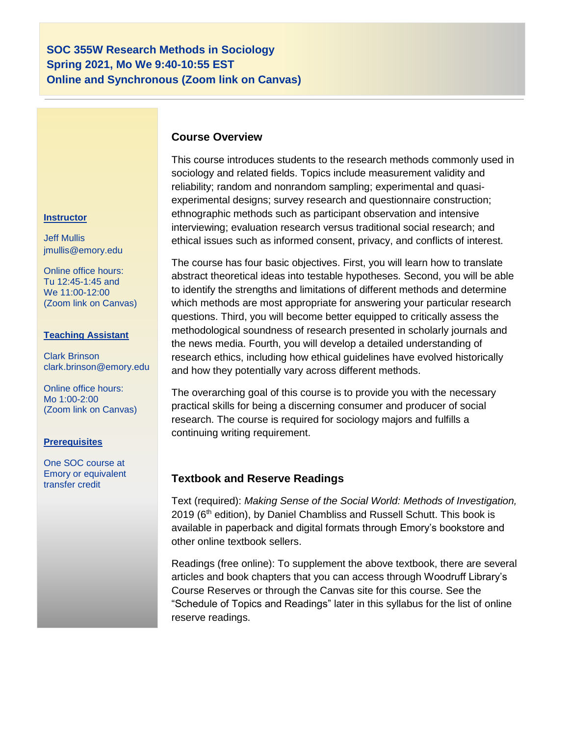**SOC 355W Research Methods in Sociology Spring 2021, Mo We 9:40-10:55 EST Online and Synchronous (Zoom link on Canvas)**

#### **Course Overview**

This course introduces students to the research methods commonly used in sociology and related fields. Topics include measurement validity and reliability; random and nonrandom sampling; experimental and quasiexperimental designs; survey research and questionnaire construction; ethnographic methods such as participant observation and intensive interviewing; evaluation research versus traditional social research; and ethical issues such as informed consent, privacy, and conflicts of interest.

The course has four basic objectives. First, you will learn how to translate abstract theoretical ideas into testable hypotheses. Second, you will be able to identify the strengths and limitations of different methods and determine which methods are most appropriate for answering your particular research questions. Third, you will become better equipped to critically assess the methodological soundness of research presented in scholarly journals and the news media. Fourth, you will develop a detailed understanding of research ethics, including how ethical guidelines have evolved historically and how they potentially vary across different methods.

The overarching goal of this course is to provide you with the necessary practical skills for being a discerning consumer and producer of social research. The course is required for sociology majors and fulfills a continuing writing requirement.

## **Textbook and Reserve Readings**

Text (required): *Making Sense of the Social World: Methods of Investigation,*  2019 (6<sup>th</sup> edition), by Daniel Chambliss and Russell Schutt. This book is available in paperback and digital formats through Emory's bookstore and other online textbook sellers.

Readings (free online): To supplement the above textbook, there are several articles and book chapters that you can access through Woodruff Library's Course Reserves or through the Canvas site for this course. See the "Schedule of Topics and Readings" later in this syllabus for the list of online reserve readings.

#### **Instructor**

Jeff Mullis jmullis@emory.edu

Online office hours: Tu 12:45-1:45 and We 11:00-12:00 (Zoom link on Canvas)

#### **Teaching Assistant**

Clark Brinson clark.brinson@emory.edu

Online office hours: Mo 1:00-2:00 (Zoom link on Canvas)

#### **Prerequisites**

One SOC course at Emory or equivalent transfer credit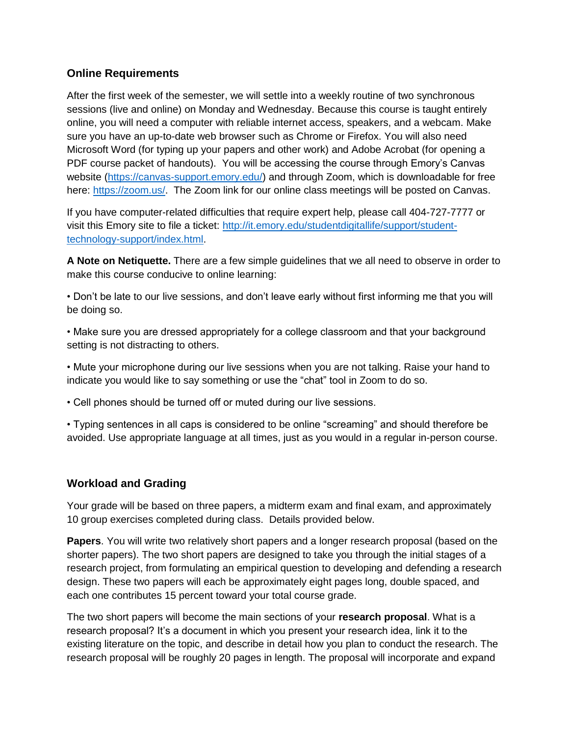## **Online Requirements**

After the first week of the semester, we will settle into a weekly routine of two synchronous sessions (live and online) on Monday and Wednesday. Because this course is taught entirely online, you will need a computer with reliable internet access, speakers, and a webcam. Make sure you have an up-to-date web browser such as Chrome or Firefox. You will also need Microsoft Word (for typing up your papers and other work) and Adobe Acrobat (for opening a PDF course packet of handouts). You will be accessing the course through Emory's Canvas website [\(https://canvas-support.emory.edu/\)](https://canvas-support.emory.edu/) and through Zoom, which is downloadable for free here: [https://zoom.us/.](https://zoom.us/) The Zoom link for our online class meetings will be posted on Canvas.

If you have computer-related difficulties that require expert help, please call 404-727-7777 or visit this Emory site to file a ticket: [http://it.emory.edu/studentdigitallife/support/student](http://it.emory.edu/studentdigitallife/support/student-technology-support/index.html)[technology-support/index.html.](http://it.emory.edu/studentdigitallife/support/student-technology-support/index.html)

**A Note on Netiquette.** There are a few simple guidelines that we all need to observe in order to make this course conducive to online learning:

• Don't be late to our live sessions, and don't leave early without first informing me that you will be doing so.

• Make sure you are dressed appropriately for a college classroom and that your background setting is not distracting to others.

• Mute your microphone during our live sessions when you are not talking. Raise your hand to indicate you would like to say something or use the "chat" tool in Zoom to do so.

• Cell phones should be turned off or muted during our live sessions.

• Typing sentences in all caps is considered to be online "screaming" and should therefore be avoided. Use appropriate language at all times, just as you would in a regular in-person course.

## **Workload and Grading**

Your grade will be based on three papers, a midterm exam and final exam, and approximately 10 group exercises completed during class. Details provided below.

**Papers**. You will write two relatively short papers and a longer research proposal (based on the shorter papers). The two short papers are designed to take you through the initial stages of a research project, from formulating an empirical question to developing and defending a research design. These two papers will each be approximately eight pages long, double spaced, and each one contributes 15 percent toward your total course grade.

The two short papers will become the main sections of your **research proposal**. What is a research proposal? It's a document in which you present your research idea, link it to the existing literature on the topic, and describe in detail how you plan to conduct the research. The research proposal will be roughly 20 pages in length. The proposal will incorporate and expand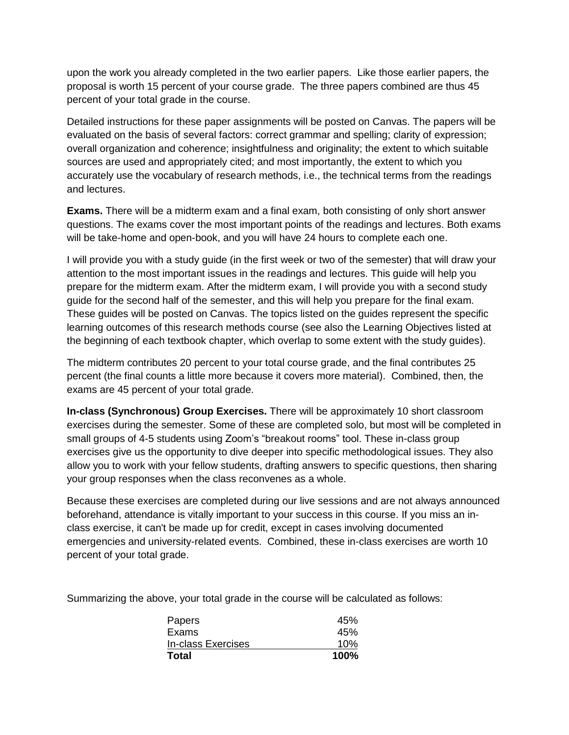upon the work you already completed in the two earlier papers. Like those earlier papers, the proposal is worth 15 percent of your course grade. The three papers combined are thus 45 percent of your total grade in the course.

Detailed instructions for these paper assignments will be posted on Canvas. The papers will be evaluated on the basis of several factors: correct grammar and spelling; clarity of expression; overall organization and coherence; insightfulness and originality; the extent to which suitable sources are used and appropriately cited; and most importantly, the extent to which you accurately use the vocabulary of research methods, i.e., the technical terms from the readings and lectures.

**Exams.** There will be a midterm exam and a final exam, both consisting of only short answer questions. The exams cover the most important points of the readings and lectures. Both exams will be take-home and open-book, and you will have 24 hours to complete each one.

I will provide you with a study guide (in the first week or two of the semester) that will draw your attention to the most important issues in the readings and lectures. This guide will help you prepare for the midterm exam. After the midterm exam, I will provide you with a second study guide for the second half of the semester, and this will help you prepare for the final exam. These guides will be posted on Canvas. The topics listed on the guides represent the specific learning outcomes of this research methods course (see also the Learning Objectives listed at the beginning of each textbook chapter, which overlap to some extent with the study guides).

The midterm contributes 20 percent to your total course grade, and the final contributes 25 percent (the final counts a little more because it covers more material). Combined, then, the exams are 45 percent of your total grade.

**In-class (Synchronous) Group Exercises.** There will be approximately 10 short classroom exercises during the semester. Some of these are completed solo, but most will be completed in small groups of 4-5 students using Zoom's "breakout rooms" tool. These in-class group exercises give us the opportunity to dive deeper into specific methodological issues. They also allow you to work with your fellow students, drafting answers to specific questions, then sharing your group responses when the class reconvenes as a whole.

Because these exercises are completed during our live sessions and are not always announced beforehand, attendance is vitally important to your success in this course. If you miss an inclass exercise, it can't be made up for credit, except in cases involving documented emergencies and university-related events. Combined, these in-class exercises are worth 10 percent of your total grade.

Summarizing the above, your total grade in the course will be calculated as follows:

| Papers             | 45%  |
|--------------------|------|
| Exams              | 45%  |
| In-class Exercises | 10%  |
| Total              | 100% |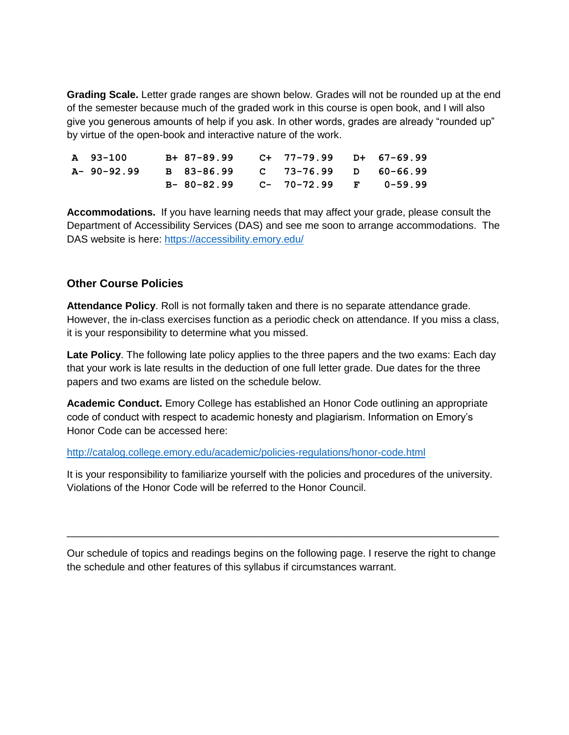**Grading Scale.** Letter grade ranges are shown below. Grades will not be rounded up at the end of the semester because much of the graded work in this course is open book, and I will also give you generous amounts of help if you ask. In other words, grades are already "rounded up" by virtue of the open-book and interactive nature of the work.

| A 93-100   | B+ 87-89.99 C+ 77-79.99 D+ 67-69.99  |  |  |
|------------|--------------------------------------|--|--|
| A-90-92.99 | B 83-86.99  C  73-76.99  D  60-66.99 |  |  |
|            | $B-80-82.99$ C- 70-72.99 F 0-59.99   |  |  |

**Accommodations.** If you have learning needs that may affect your grade, please consult the Department of Accessibility Services (DAS) and see me soon to arrange accommodations. The DAS website is here:<https://accessibility.emory.edu/>

# **Other Course Policies**

**Attendance Policy**. Roll is not formally taken and there is no separate attendance grade. However, the in-class exercises function as a periodic check on attendance. If you miss a class, it is your responsibility to determine what you missed.

**Late Policy**. The following late policy applies to the three papers and the two exams: Each day that your work is late results in the deduction of one full letter grade. Due dates for the three papers and two exams are listed on the schedule below.

**Academic Conduct.** Emory College has established an Honor Code outlining an appropriate code of conduct with respect to academic honesty and plagiarism. Information on Emory's Honor Code can be accessed here:

#### <http://catalog.college.emory.edu/academic/policies-regulations/honor-code.html>

It is your responsibility to familiarize yourself with the policies and procedures of the university. Violations of the Honor Code will be referred to the Honor Council.

Our schedule of topics and readings begins on the following page. I reserve the right to change the schedule and other features of this syllabus if circumstances warrant.

\_\_\_\_\_\_\_\_\_\_\_\_\_\_\_\_\_\_\_\_\_\_\_\_\_\_\_\_\_\_\_\_\_\_\_\_\_\_\_\_\_\_\_\_\_\_\_\_\_\_\_\_\_\_\_\_\_\_\_\_\_\_\_\_\_\_\_\_\_\_\_\_\_\_\_\_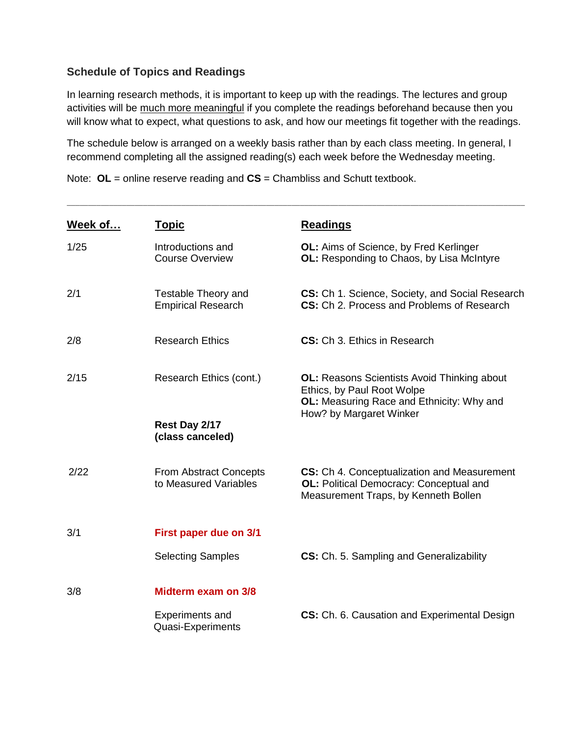# **Schedule of Topics and Readings**

In learning research methods, it is important to keep up with the readings. The lectures and group activities will be much more meaningful if you complete the readings beforehand because then you will know what to expect, what questions to ask, and how our meetings fit together with the readings.

The schedule below is arranged on a weekly basis rather than by each class meeting. In general, I recommend completing all the assigned reading(s) each week before the Wednesday meeting.

**\_\_\_\_\_\_\_\_\_\_\_\_\_\_\_\_\_\_\_\_\_\_\_\_\_\_\_\_\_\_\_\_\_\_\_\_\_\_\_\_\_\_\_\_\_\_\_\_\_\_\_\_\_\_\_\_\_\_\_\_\_\_\_\_\_\_\_\_\_\_\_\_\_\_\_\_\_\_\_\_\_\_\_\_\_\_\_\_\_\_\_\_\_\_\_\_\_\_\_\_\_\_\_\_\_\_\_\_**

**Week of...** Topic **Readings** 1/25 Introductions and **OL:** Aims of Science, by Fred Kerlinger Course Overview **OL:** Responding to Chaos, by Lisa McIntyre 2/1 Testable Theory and **CS:** Ch 1. Science, Society, and Social Research Empirical Research **CS:** Ch 2. Process and Problems of Research 2/8 Research Ethics **CS:** Ch 3. Ethics in Research 2/15 Research Ethics (cont.) **OL:** Reasons Scientists Avoid Thinking about Ethics, by Paul Root Wolpe  **OL:** Measuring Race and Ethnicity: Why and How? by Margaret Winker **Rest Day 2/17 (class canceled)** 2/22 From Abstract Concepts **CS:** Ch 4. Conceptualization and Measurement to Measured Variables **OL:** Political Democracy: Conceptual and Measurement Traps, by Kenneth Bollen 3/1 **First paper due on 3/1** Selecting Samples **CS:** Ch. 5. Sampling and Generalizability 3/8 **Midterm exam on 3/8** Experiments and **CS:** Ch. 6. Causation and Experimental Design Quasi-Experiments

Note: **OL** = online reserve reading and **CS** = Chambliss and Schutt textbook.